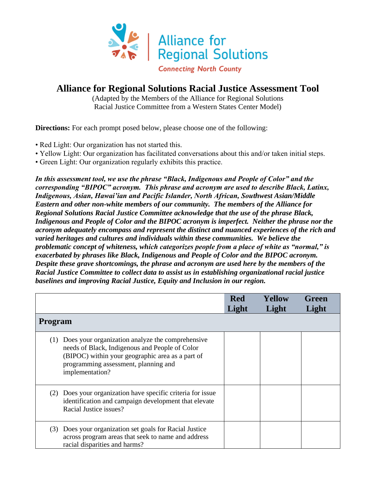

## **Alliance for Regional Solutions Racial Justice Assessment Tool**

(Adapted by the Members of the Alliance for Regional Solutions Racial Justice Committee from a Western States Center Model)

**Directions:** For each prompt posed below, please choose one of the following:

- Red Light: Our organization has not started this.
- Yellow Light: Our organization has facilitated conversations about this and/or taken initial steps.
- Green Light: Our organization regularly exhibits this practice.

*In this assessment tool, we use the phrase "Black, Indigenous and People of Color" and the corresponding "BIPOC" acronym. This phrase and acronym are used to describe Black, Latinx, Indigenous, Asian, Hawai'ian and Pacific Islander, North African, Southwest Asian/Middle Eastern and other non-white members of our community. The members of the Alliance for Regional Solutions Racial Justice Committee acknowledge that the use of the phrase Black, Indigenous and People of Color and the BIPOC acronym is imperfect. Neither the phrase nor the acronym adequately encompass and represent the distinct and nuanced experiences of the rich and varied heritages and cultures and individuals within these communities. We believe the problematic concept of whiteness, which categorizes people from a place of white as "normal," is exacerbated by phrases like Black, Indigenous and People of Color and the BIPOC acronym. Despite these grave shortcomings, the phrase and acronym are used here by the members of the Racial Justice Committee to collect data to assist us in establishing organizational racial justice baselines and improving Racial Justice, Equity and Inclusion in our region.*

|                                                                                                                                                                                                                          | <b>Red</b><br>Light | Yellow<br>Light | Green<br>Light |
|--------------------------------------------------------------------------------------------------------------------------------------------------------------------------------------------------------------------------|---------------------|-----------------|----------------|
| <b>Program</b>                                                                                                                                                                                                           |                     |                 |                |
| Does your organization analyze the comprehensive<br>(1)<br>needs of Black, Indigenous and People of Color<br>(BIPOC) within your geographic area as a part of<br>programming assessment, planning and<br>implementation? |                     |                 |                |
| Does your organization have specific criteria for issue<br>(2)<br>identification and campaign development that elevate<br>Racial Justice issues?                                                                         |                     |                 |                |
| Does your organization set goals for Racial Justice<br>(3)<br>across program areas that seek to name and address<br>racial disparities and harms?                                                                        |                     |                 |                |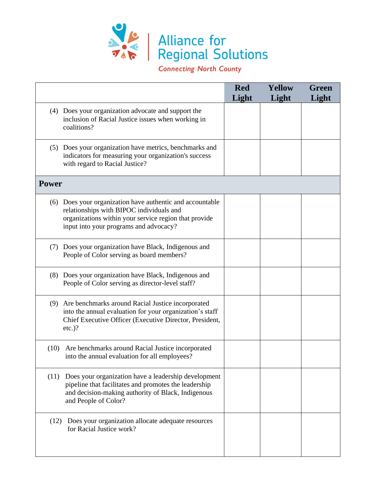

**Connecting North County** 

|              |                                                                                                                                                                                                          | <b>Red</b><br>Light | <b>Yellow</b><br>Light | Green<br>Light |
|--------------|----------------------------------------------------------------------------------------------------------------------------------------------------------------------------------------------------------|---------------------|------------------------|----------------|
|              | (4) Does your organization advocate and support the<br>inclusion of Racial Justice issues when working in<br>coalitions?                                                                                 |                     |                        |                |
|              | (5) Does your organization have metrics, benchmarks and<br>indicators for measuring your organization's success<br>with regard to Racial Justice?                                                        |                     |                        |                |
| <b>Power</b> |                                                                                                                                                                                                          |                     |                        |                |
|              | (6) Does your organization have authentic and accountable<br>relationships with BIPOC individuals and<br>organizations within your service region that provide<br>input into your programs and advocacy? |                     |                        |                |
| (7)          | Does your organization have Black, Indigenous and<br>People of Color serving as board members?                                                                                                           |                     |                        |                |
|              | (8) Does your organization have Black, Indigenous and<br>People of Color serving as director-level staff?                                                                                                |                     |                        |                |
|              | (9) Are benchmarks around Racial Justice incorporated<br>into the annual evaluation for your organization's staff<br>Chief Executive Officer (Executive Director, President,<br>$etc.$ )?                |                     |                        |                |
| (10)         | Are benchmarks around Racial Justice incorporated<br>into the annual evaluation for all employees?                                                                                                       |                     |                        |                |
| (11)         | Does your organization have a leadership development<br>pipeline that facilitates and promotes the leadership<br>and decision-making authority of Black, Indigenous<br>and People of Color?              |                     |                        |                |
| (12)         | Does your organization allocate adequate resources<br>for Racial Justice work?                                                                                                                           |                     |                        |                |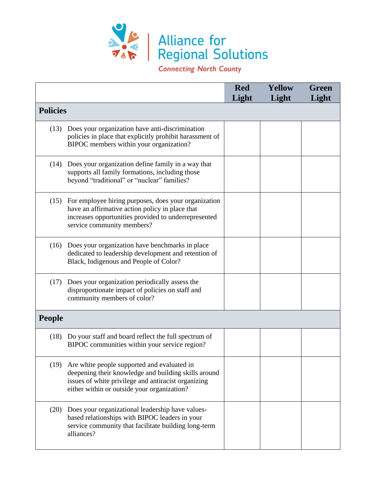

**Connecting North County** 

|                 |                                                                                                                                                                                                           | <b>Red</b><br>Light | <b>Yellow</b><br>Light | Green<br>Light |
|-----------------|-----------------------------------------------------------------------------------------------------------------------------------------------------------------------------------------------------------|---------------------|------------------------|----------------|
| <b>Policies</b> |                                                                                                                                                                                                           |                     |                        |                |
| (13)            | Does your organization have anti-discrimination<br>policies in place that explicitly prohibit harassment of<br>BIPOC members within your organization?                                                    |                     |                        |                |
| (14)            | Does your organization define family in a way that<br>supports all family formations, including those<br>beyond "traditional" or "nuclear" families?                                                      |                     |                        |                |
|                 | (15) For employee hiring purposes, does your organization<br>have an affirmative action policy in place that<br>increases opportunities provided to underrepresented<br>service community members?        |                     |                        |                |
| (16)            | Does your organization have benchmarks in place<br>dedicated to leadership development and retention of<br>Black, Indigenous and People of Color?                                                         |                     |                        |                |
| (17)            | Does your organization periodically assess the<br>disproportionate impact of policies on staff and<br>community members of color?                                                                         |                     |                        |                |
| <b>People</b>   |                                                                                                                                                                                                           |                     |                        |                |
| (18)            | Do your staff and board reflect the full spectrum of<br>BIPOC communities within your service region?                                                                                                     |                     |                        |                |
| (19)            | Are white people supported and evaluated in<br>deepening their knowledge and building skills around<br>issues of white privilege and antiracist organizing<br>either within or outside your organization? |                     |                        |                |
| (20)            | Does your organizational leadership have values-<br>based relationships with BIPOC leaders in your<br>service community that facilitate building long-term<br>alliances?                                  |                     |                        |                |